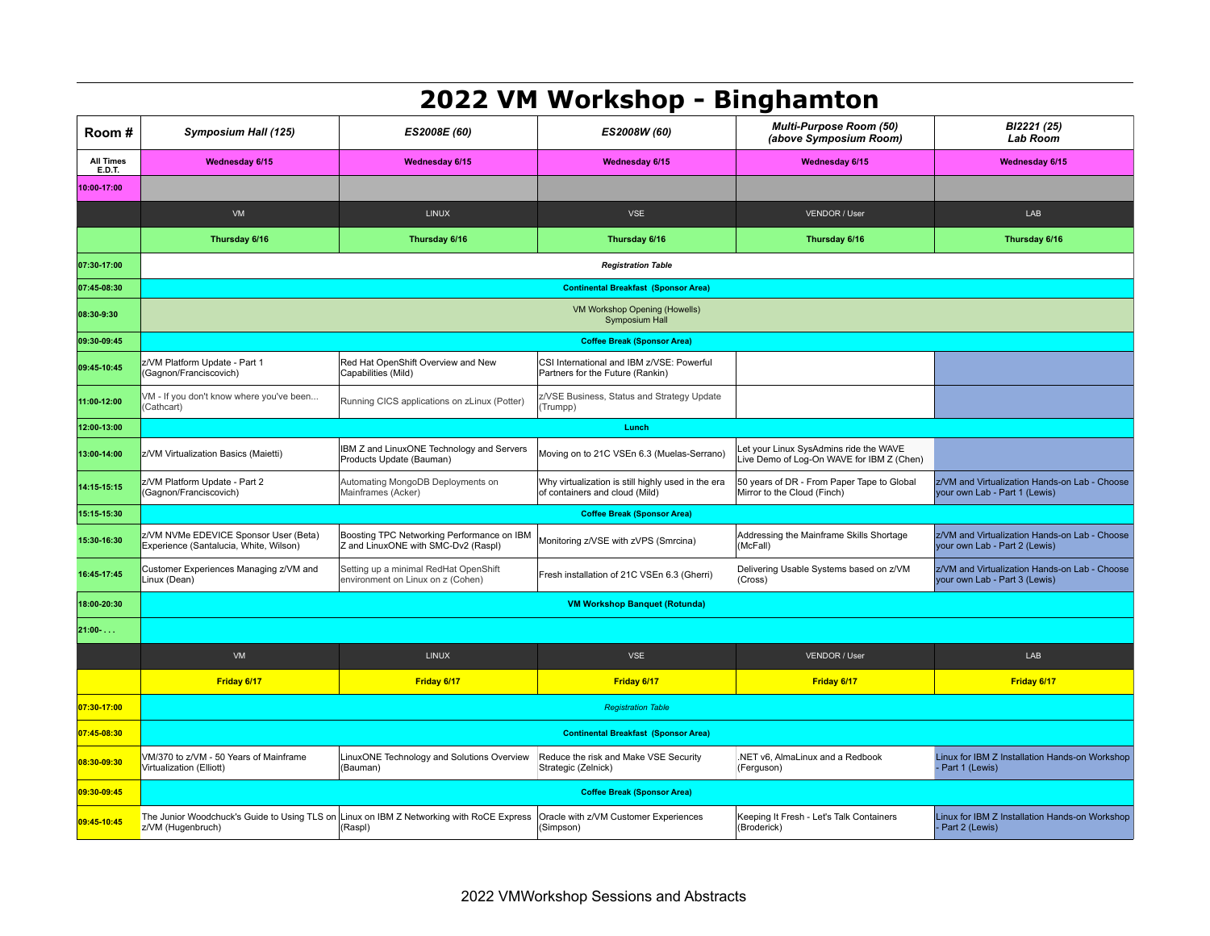|                                   |                                                                                                               |                                                                                   | 2022 VM Workshop - Binghamton                                                        |                                                                                     |                                                                                |  |  |
|-----------------------------------|---------------------------------------------------------------------------------------------------------------|-----------------------------------------------------------------------------------|--------------------------------------------------------------------------------------|-------------------------------------------------------------------------------------|--------------------------------------------------------------------------------|--|--|
| Room#                             | Symposium Hall (125)                                                                                          | ES2008E (60)                                                                      | ES2008W (60)                                                                         | <b>Multi-Purpose Room (50)</b><br>(above Symposium Room)                            | BI2221 (25)<br><b>Lab Room</b>                                                 |  |  |
| <b>All Times</b><br><b>E.D.T.</b> | <b>Wednesday 6/15</b>                                                                                         | Wednesday 6/15                                                                    | Wednesday 6/15                                                                       | Wednesday 6/15                                                                      | Wednesday 6/15                                                                 |  |  |
| 10:00-17:00                       |                                                                                                               |                                                                                   |                                                                                      |                                                                                     |                                                                                |  |  |
|                                   | VM                                                                                                            | LINUX                                                                             | <b>VSE</b>                                                                           | VENDOR / User                                                                       | LAB                                                                            |  |  |
|                                   | Thursday 6/16                                                                                                 | Thursday 6/16                                                                     | Thursday 6/16                                                                        | Thursday 6/16                                                                       | Thursday 6/16                                                                  |  |  |
| 07:30-17:00                       | <b>Registration Table</b>                                                                                     |                                                                                   |                                                                                      |                                                                                     |                                                                                |  |  |
| 07:45-08:30                       | <b>Continental Breakfast (Sponsor Area)</b>                                                                   |                                                                                   |                                                                                      |                                                                                     |                                                                                |  |  |
| 08:30-9:30                        | VM Workshop Opening (Howells)<br>Symposium Hall                                                               |                                                                                   |                                                                                      |                                                                                     |                                                                                |  |  |
| 09:30-09:45                       |                                                                                                               |                                                                                   | <b>Coffee Break (Sponsor Area)</b>                                                   |                                                                                     |                                                                                |  |  |
| 09:45-10:45                       | z/VM Platform Update - Part 1<br>Gagnon/Franciscovich)                                                        | Red Hat OpenShift Overview and New<br>Capabilities (Mild)                         | CSI International and IBM z/VSE: Powerful<br>Partners for the Future (Rankin)        |                                                                                     |                                                                                |  |  |
| 11:00-12:00                       | /M - If you don't know where you've been<br>Cathcart)                                                         | Running CICS applications on zLinux (Potter)                                      | z/VSE Business, Status and Strategy Update<br>(Trumpp)                               |                                                                                     |                                                                                |  |  |
| 12:00-13:00                       |                                                                                                               |                                                                                   | Lunch                                                                                |                                                                                     |                                                                                |  |  |
| 13:00-14:00                       | z/VM Virtualization Basics (Maietti)                                                                          | IBM Z and LinuxONE Technology and Servers<br>Products Update (Bauman)             | Moving on to 21C VSEn 6.3 (Muelas-Serrano)                                           | Let your Linux SysAdmins ride the WAVE<br>Live Demo of Log-On WAVE for IBM Z (Chen) |                                                                                |  |  |
| 14:15-15:15                       | z/VM Platform Update - Part 2<br>(Gagnon/Franciscovich)                                                       | Automating MongoDB Deployments on<br>Mainframes (Acker)                           | Why virtualization is still highly used in the era<br>of containers and cloud (Mild) | 50 years of DR - From Paper Tape to Global<br>Mirror to the Cloud (Finch)           | z/VM and Virtualization Hands-on Lab - Choose<br>your own Lab - Part 1 (Lewis) |  |  |
| 15:15-15:30                       | <b>Coffee Break (Sponsor Area)</b>                                                                            |                                                                                   |                                                                                      |                                                                                     |                                                                                |  |  |
| 15:30-16:30                       | z/VM NVMe EDEVICE Sponsor User (Beta)<br>Experience (Santalucia, White, Wilson)                               | Boosting TPC Networking Performance on IBM<br>Z and LinuxONE with SMC-Dv2 (Raspl) | Monitoring z/VSE with zVPS (Smrcina)                                                 | Addressing the Mainframe Skills Shortage<br>(McFall)                                | z/VM and Virtualization Hands-on Lab - Choose<br>your own Lab - Part 2 (Lewis) |  |  |
| 16:45-17:45                       | Customer Experiences Managing z/VM and<br>Linux (Dean)                                                        | Setting up a minimal RedHat OpenShift<br>environment on Linux on z (Cohen)        | Fresh installation of 21C VSEn 6.3 (Gherri)                                          | Delivering Usable Systems based on z/VM<br>(Cross)                                  | z/VM and Virtualization Hands-on Lab - Choose<br>your own Lab - Part 3 (Lewis) |  |  |
| 18:00-20:30                       | <b>VM Workshop Banquet (Rotunda)</b>                                                                          |                                                                                   |                                                                                      |                                                                                     |                                                                                |  |  |
| 21:00-                            |                                                                                                               |                                                                                   |                                                                                      |                                                                                     |                                                                                |  |  |
|                                   | VM                                                                                                            | <b>LINUX</b>                                                                      | <b>VSE</b>                                                                           | VENDOR / User                                                                       | LAB                                                                            |  |  |
|                                   | Friday 6/17                                                                                                   | Friday 6/17                                                                       | Friday 6/17                                                                          | Friday 6/17                                                                         | Friday 6/17                                                                    |  |  |
| 07:30-17:00                       | <b>Registration Table</b>                                                                                     |                                                                                   |                                                                                      |                                                                                     |                                                                                |  |  |
| 07:45-08:30                       | <b>Continental Breakfast (Sponsor Area)</b>                                                                   |                                                                                   |                                                                                      |                                                                                     |                                                                                |  |  |
| 08:30-09:30                       | VM/370 to z/VM - 50 Years of Mainframe<br>Virtualization (Elliott)                                            | LinuxONE Technology and Solutions Overview<br>(Bauman)                            | Reduce the risk and Make VSE Security<br>Strategic (Zelnick)                         | .NET v6, AlmaLinux and a Redbook<br>(Ferguson)                                      | Linux for IBM Z Installation Hands-on Workshop<br>Part 1 (Lewis)               |  |  |
| 09:30-09:45                       | <b>Coffee Break (Sponsor Area)</b>                                                                            |                                                                                   |                                                                                      |                                                                                     |                                                                                |  |  |
| 09:45-10:45                       | The Junior Woodchuck's Guide to Using TLS on Linux on IBM Z Networking with RoCE Express<br>z/VM (Hugenbruch) | (Raspl)                                                                           | Oracle with z/VM Customer Experiences<br>(Simpson)                                   | Keeping It Fresh - Let's Talk Containers<br>(Broderick)                             | Linux for IBM Z Installation Hands-on Workshop<br>- Part 2 (Lewis)             |  |  |